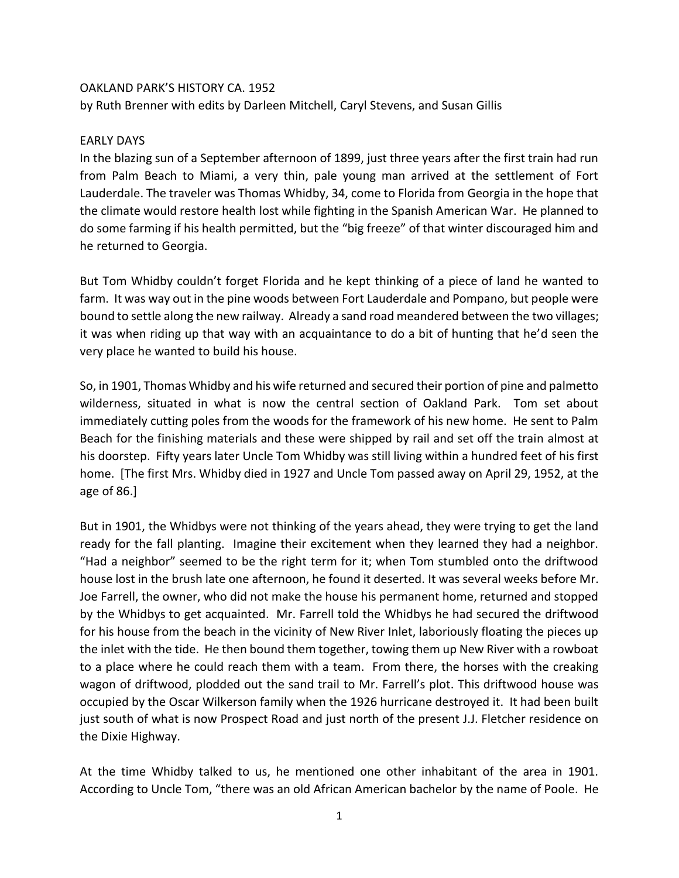## OAKLAND PARK'S HISTORY CA. 1952

by Ruth Brenner with edits by Darleen Mitchell, Caryl Stevens, and Susan Gillis

## EARLY DAYS

In the blazing sun of a September afternoon of 1899, just three years after the first train had run from Palm Beach to Miami, a very thin, pale young man arrived at the settlement of Fort Lauderdale. The traveler was Thomas Whidby, 34, come to Florida from Georgia in the hope that the climate would restore health lost while fighting in the Spanish American War. He planned to do some farming if his health permitted, but the "big freeze" of that winter discouraged him and he returned to Georgia.

But Tom Whidby couldn't forget Florida and he kept thinking of a piece of land he wanted to farm. It was way out in the pine woods between Fort Lauderdale and Pompano, but people were bound to settle along the new railway. Already a sand road meandered between the two villages; it was when riding up that way with an acquaintance to do a bit of hunting that he'd seen the very place he wanted to build his house.

So, in 1901, Thomas Whidby and his wife returned and secured their portion of pine and palmetto wilderness, situated in what is now the central section of Oakland Park. Tom set about immediately cutting poles from the woods for the framework of his new home. He sent to Palm Beach for the finishing materials and these were shipped by rail and set off the train almost at his doorstep. Fifty years later Uncle Tom Whidby was still living within a hundred feet of his first home. [The first Mrs. Whidby died in 1927 and Uncle Tom passed away on April 29, 1952, at the age of 86.]

But in 1901, the Whidbys were not thinking of the years ahead, they were trying to get the land ready for the fall planting. Imagine their excitement when they learned they had a neighbor. "Had a neighbor" seemed to be the right term for it; when Tom stumbled onto the driftwood house lost in the brush late one afternoon, he found it deserted. It was several weeks before Mr. Joe Farrell, the owner, who did not make the house his permanent home, returned and stopped by the Whidbys to get acquainted. Mr. Farrell told the Whidbys he had secured the driftwood for his house from the beach in the vicinity of New River Inlet, laboriously floating the pieces up the inlet with the tide. He then bound them together, towing them up New River with a rowboat to a place where he could reach them with a team. From there, the horses with the creaking wagon of driftwood, plodded out the sand trail to Mr. Farrell's plot. This driftwood house was occupied by the Oscar Wilkerson family when the 1926 hurricane destroyed it. It had been built just south of what is now Prospect Road and just north of the present J.J. Fletcher residence on the Dixie Highway.

At the time Whidby talked to us, he mentioned one other inhabitant of the area in 1901. According to Uncle Tom, "there was an old African American bachelor by the name of Poole. He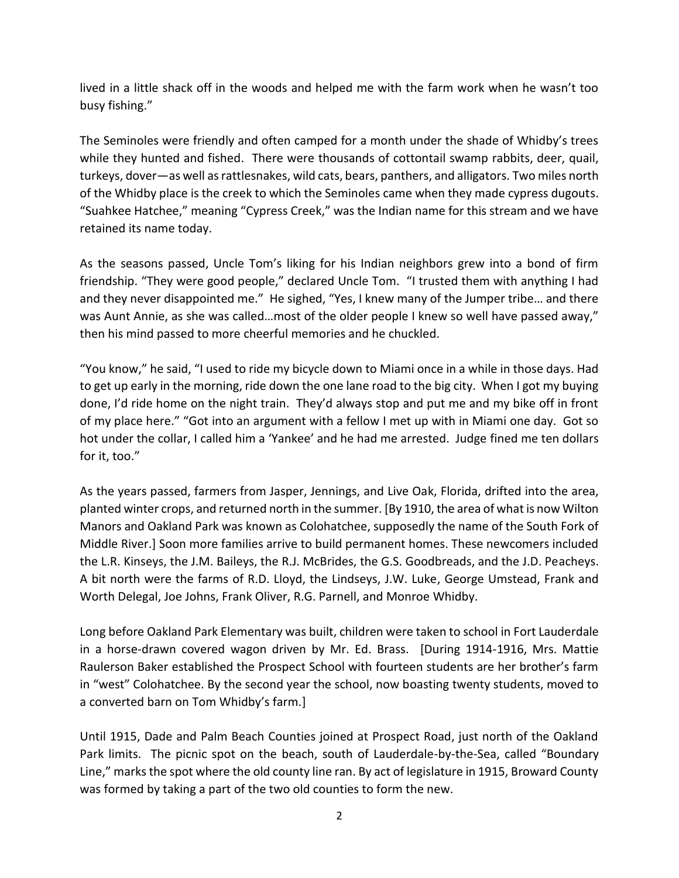lived in a little shack off in the woods and helped me with the farm work when he wasn't too busy fishing."

The Seminoles were friendly and often camped for a month under the shade of Whidby's trees while they hunted and fished. There were thousands of cottontail swamp rabbits, deer, quail, turkeys, dover—as well as rattlesnakes, wild cats, bears, panthers, and alligators. Two miles north of the Whidby place is the creek to which the Seminoles came when they made cypress dugouts. "Suahkee Hatchee," meaning "Cypress Creek," was the Indian name for this stream and we have retained its name today.

As the seasons passed, Uncle Tom's liking for his Indian neighbors grew into a bond of firm friendship. "They were good people," declared Uncle Tom. "I trusted them with anything I had and they never disappointed me." He sighed, "Yes, I knew many of the Jumper tribe… and there was Aunt Annie, as she was called…most of the older people I knew so well have passed away," then his mind passed to more cheerful memories and he chuckled.

"You know," he said, "I used to ride my bicycle down to Miami once in a while in those days. Had to get up early in the morning, ride down the one lane road to the big city. When I got my buying done, I'd ride home on the night train. They'd always stop and put me and my bike off in front of my place here." "Got into an argument with a fellow I met up with in Miami one day. Got so hot under the collar, I called him a 'Yankee' and he had me arrested. Judge fined me ten dollars for it, too."

As the years passed, farmers from Jasper, Jennings, and Live Oak, Florida, drifted into the area, planted winter crops, and returned north in the summer. [By 1910, the area of what is now Wilton Manors and Oakland Park was known as Colohatchee, supposedly the name of the South Fork of Middle River.] Soon more families arrive to build permanent homes. These newcomers included the L.R. Kinseys, the J.M. Baileys, the R.J. McBrides, the G.S. Goodbreads, and the J.D. Peacheys. A bit north were the farms of R.D. Lloyd, the Lindseys, J.W. Luke, George Umstead, Frank and Worth Delegal, Joe Johns, Frank Oliver, R.G. Parnell, and Monroe Whidby.

Long before Oakland Park Elementary was built, children were taken to school in Fort Lauderdale in a horse-drawn covered wagon driven by Mr. Ed. Brass. [During 1914-1916, Mrs. Mattie Raulerson Baker established the Prospect School with fourteen students are her brother's farm in "west" Colohatchee. By the second year the school, now boasting twenty students, moved to a converted barn on Tom Whidby's farm.]

Until 1915, Dade and Palm Beach Counties joined at Prospect Road, just north of the Oakland Park limits. The picnic spot on the beach, south of Lauderdale-by-the-Sea, called "Boundary Line," marks the spot where the old county line ran. By act of legislature in 1915, Broward County was formed by taking a part of the two old counties to form the new.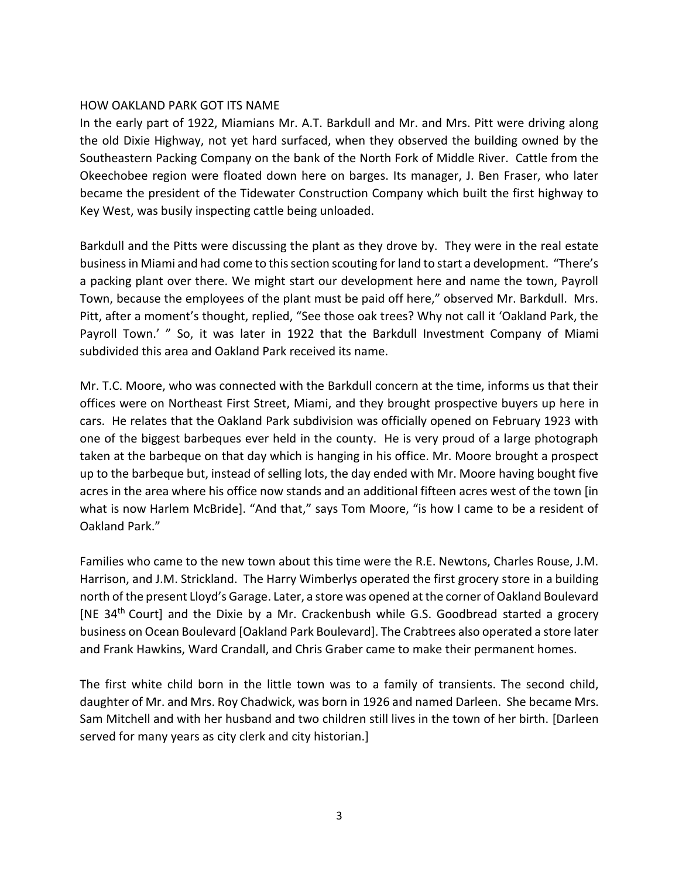#### HOW OAKLAND PARK GOT ITS NAME

In the early part of 1922, Miamians Mr. A.T. Barkdull and Mr. and Mrs. Pitt were driving along the old Dixie Highway, not yet hard surfaced, when they observed the building owned by the Southeastern Packing Company on the bank of the North Fork of Middle River. Cattle from the Okeechobee region were floated down here on barges. Its manager, J. Ben Fraser, who later became the president of the Tidewater Construction Company which built the first highway to Key West, was busily inspecting cattle being unloaded.

Barkdull and the Pitts were discussing the plant as they drove by. They were in the real estate business in Miami and had come to this section scouting for land to start a development. "There's a packing plant over there. We might start our development here and name the town, Payroll Town, because the employees of the plant must be paid off here," observed Mr. Barkdull. Mrs. Pitt, after a moment's thought, replied, "See those oak trees? Why not call it 'Oakland Park, the Payroll Town.' " So, it was later in 1922 that the Barkdull Investment Company of Miami subdivided this area and Oakland Park received its name.

Mr. T.C. Moore, who was connected with the Barkdull concern at the time, informs us that their offices were on Northeast First Street, Miami, and they brought prospective buyers up here in cars. He relates that the Oakland Park subdivision was officially opened on February 1923 with one of the biggest barbeques ever held in the county. He is very proud of a large photograph taken at the barbeque on that day which is hanging in his office. Mr. Moore brought a prospect up to the barbeque but, instead of selling lots, the day ended with Mr. Moore having bought five acres in the area where his office now stands and an additional fifteen acres west of the town [in what is now Harlem McBride]. "And that," says Tom Moore, "is how I came to be a resident of Oakland Park."

Families who came to the new town about this time were the R.E. Newtons, Charles Rouse, J.M. Harrison, and J.M. Strickland. The Harry Wimberlys operated the first grocery store in a building north of the present Lloyd's Garage. Later, a store was opened at the corner of Oakland Boulevard [NE 34<sup>th</sup> Court] and the Dixie by a Mr. Crackenbush while G.S. Goodbread started a grocery business on Ocean Boulevard [Oakland Park Boulevard]. The Crabtrees also operated a store later and Frank Hawkins, Ward Crandall, and Chris Graber came to make their permanent homes.

The first white child born in the little town was to a family of transients. The second child, daughter of Mr. and Mrs. Roy Chadwick, was born in 1926 and named Darleen. She became Mrs. Sam Mitchell and with her husband and two children still lives in the town of her birth. [Darleen served for many years as city clerk and city historian.]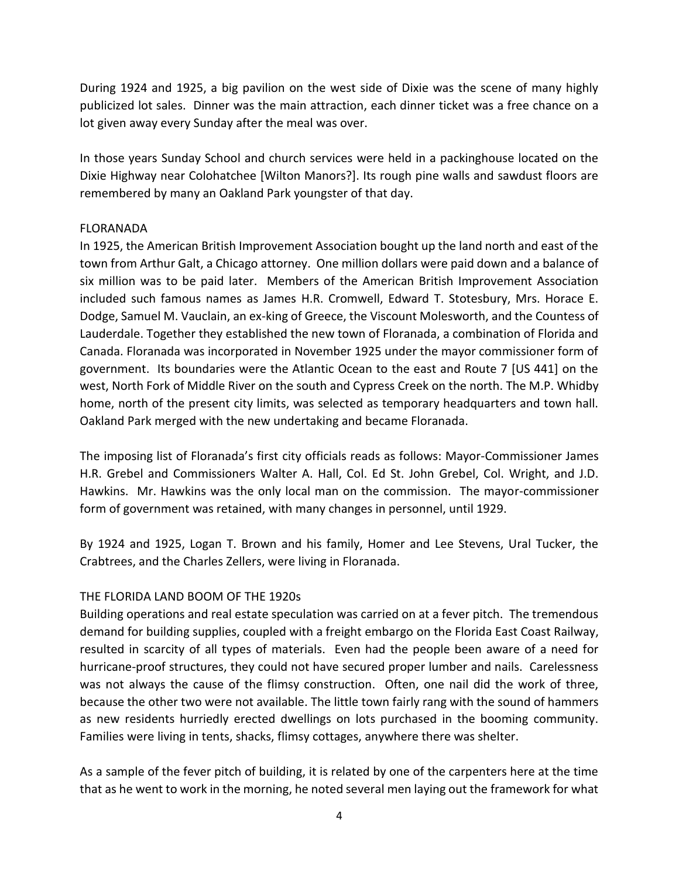During 1924 and 1925, a big pavilion on the west side of Dixie was the scene of many highly publicized lot sales. Dinner was the main attraction, each dinner ticket was a free chance on a lot given away every Sunday after the meal was over.

In those years Sunday School and church services were held in a packinghouse located on the Dixie Highway near Colohatchee [Wilton Manors?]. Its rough pine walls and sawdust floors are remembered by many an Oakland Park youngster of that day.

### FLORANADA

In 1925, the American British Improvement Association bought up the land north and east of the town from Arthur Galt, a Chicago attorney. One million dollars were paid down and a balance of six million was to be paid later. Members of the American British Improvement Association included such famous names as James H.R. Cromwell, Edward T. Stotesbury, Mrs. Horace E. Dodge, Samuel M. Vauclain, an ex-king of Greece, the Viscount Molesworth, and the Countess of Lauderdale. Together they established the new town of Floranada, a combination of Florida and Canada. Floranada was incorporated in November 1925 under the mayor commissioner form of government. Its boundaries were the Atlantic Ocean to the east and Route 7 [US 441] on the west, North Fork of Middle River on the south and Cypress Creek on the north. The M.P. Whidby home, north of the present city limits, was selected as temporary headquarters and town hall. Oakland Park merged with the new undertaking and became Floranada.

The imposing list of Floranada's first city officials reads as follows: Mayor-Commissioner James H.R. Grebel and Commissioners Walter A. Hall, Col. Ed St. John Grebel, Col. Wright, and J.D. Hawkins. Mr. Hawkins was the only local man on the commission. The mayor-commissioner form of government was retained, with many changes in personnel, until 1929.

By 1924 and 1925, Logan T. Brown and his family, Homer and Lee Stevens, Ural Tucker, the Crabtrees, and the Charles Zellers, were living in Floranada.

# THE FLORIDA LAND BOOM OF THE 1920s

Building operations and real estate speculation was carried on at a fever pitch. The tremendous demand for building supplies, coupled with a freight embargo on the Florida East Coast Railway, resulted in scarcity of all types of materials. Even had the people been aware of a need for hurricane-proof structures, they could not have secured proper lumber and nails. Carelessness was not always the cause of the flimsy construction. Often, one nail did the work of three, because the other two were not available. The little town fairly rang with the sound of hammers as new residents hurriedly erected dwellings on lots purchased in the booming community. Families were living in tents, shacks, flimsy cottages, anywhere there was shelter.

As a sample of the fever pitch of building, it is related by one of the carpenters here at the time that as he went to work in the morning, he noted several men laying out the framework for what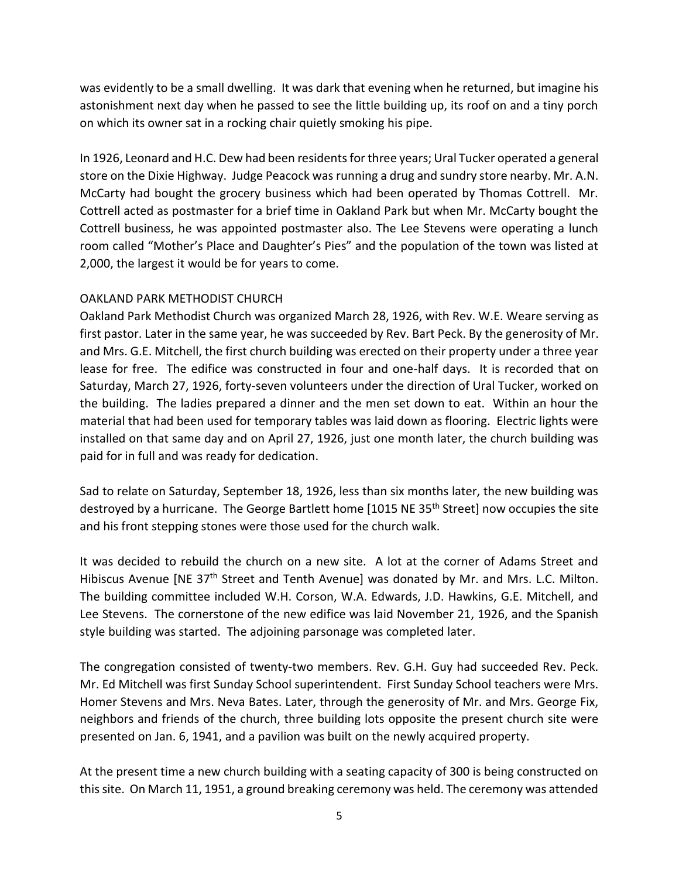was evidently to be a small dwelling. It was dark that evening when he returned, but imagine his astonishment next day when he passed to see the little building up, its roof on and a tiny porch on which its owner sat in a rocking chair quietly smoking his pipe.

In 1926, Leonard and H.C. Dew had been residents for three years; Ural Tucker operated a general store on the Dixie Highway. Judge Peacock was running a drug and sundry store nearby. Mr. A.N. McCarty had bought the grocery business which had been operated by Thomas Cottrell. Mr. Cottrell acted as postmaster for a brief time in Oakland Park but when Mr. McCarty bought the Cottrell business, he was appointed postmaster also. The Lee Stevens were operating a lunch room called "Mother's Place and Daughter's Pies" and the population of the town was listed at 2,000, the largest it would be for years to come.

# OAKLAND PARK METHODIST CHURCH

Oakland Park Methodist Church was organized March 28, 1926, with Rev. W.E. Weare serving as first pastor. Later in the same year, he was succeeded by Rev. Bart Peck. By the generosity of Mr. and Mrs. G.E. Mitchell, the first church building was erected on their property under a three year lease for free. The edifice was constructed in four and one-half days. It is recorded that on Saturday, March 27, 1926, forty-seven volunteers under the direction of Ural Tucker, worked on the building. The ladies prepared a dinner and the men set down to eat. Within an hour the material that had been used for temporary tables was laid down as flooring. Electric lights were installed on that same day and on April 27, 1926, just one month later, the church building was paid for in full and was ready for dedication.

Sad to relate on Saturday, September 18, 1926, less than six months later, the new building was destroyed by a hurricane. The George Bartlett home  $[1015$  NE 35<sup>th</sup> Street] now occupies the site and his front stepping stones were those used for the church walk.

It was decided to rebuild the church on a new site. A lot at the corner of Adams Street and Hibiscus Avenue [NE 37<sup>th</sup> Street and Tenth Avenue] was donated by Mr. and Mrs. L.C. Milton. The building committee included W.H. Corson, W.A. Edwards, J.D. Hawkins, G.E. Mitchell, and Lee Stevens. The cornerstone of the new edifice was laid November 21, 1926, and the Spanish style building was started. The adjoining parsonage was completed later.

The congregation consisted of twenty-two members. Rev. G.H. Guy had succeeded Rev. Peck. Mr. Ed Mitchell was first Sunday School superintendent. First Sunday School teachers were Mrs. Homer Stevens and Mrs. Neva Bates. Later, through the generosity of Mr. and Mrs. George Fix, neighbors and friends of the church, three building lots opposite the present church site were presented on Jan. 6, 1941, and a pavilion was built on the newly acquired property.

At the present time a new church building with a seating capacity of 300 is being constructed on this site. On March 11, 1951, a ground breaking ceremony was held. The ceremony was attended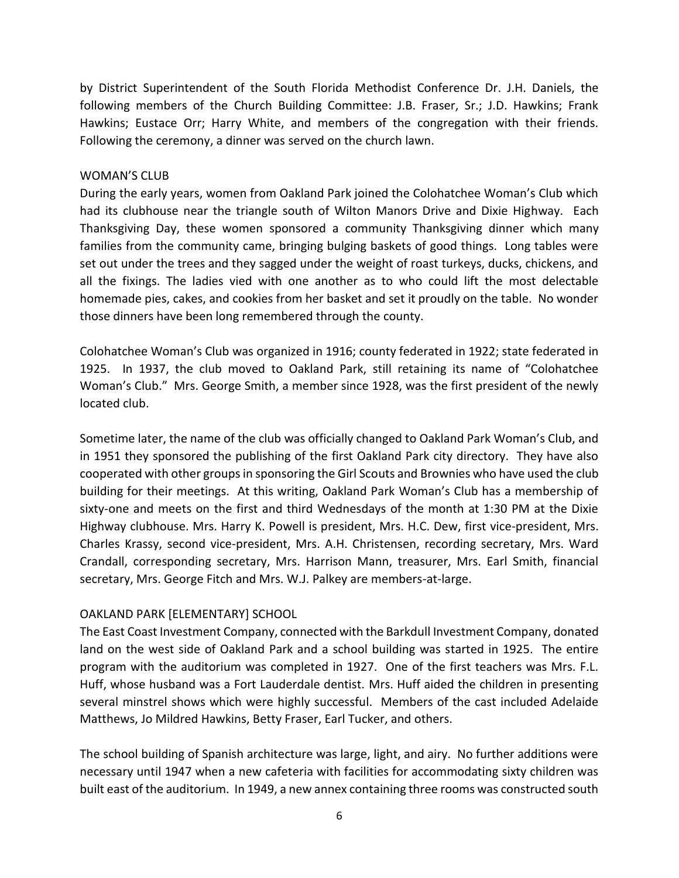by District Superintendent of the South Florida Methodist Conference Dr. J.H. Daniels, the following members of the Church Building Committee: J.B. Fraser, Sr.; J.D. Hawkins; Frank Hawkins; Eustace Orr; Harry White, and members of the congregation with their friends. Following the ceremony, a dinner was served on the church lawn.

#### WOMAN'S CLUB

During the early years, women from Oakland Park joined the Colohatchee Woman's Club which had its clubhouse near the triangle south of Wilton Manors Drive and Dixie Highway. Each Thanksgiving Day, these women sponsored a community Thanksgiving dinner which many families from the community came, bringing bulging baskets of good things. Long tables were set out under the trees and they sagged under the weight of roast turkeys, ducks, chickens, and all the fixings. The ladies vied with one another as to who could lift the most delectable homemade pies, cakes, and cookies from her basket and set it proudly on the table. No wonder those dinners have been long remembered through the county.

Colohatchee Woman's Club was organized in 1916; county federated in 1922; state federated in 1925. In 1937, the club moved to Oakland Park, still retaining its name of "Colohatchee Woman's Club." Mrs. George Smith, a member since 1928, was the first president of the newly located club.

Sometime later, the name of the club was officially changed to Oakland Park Woman's Club, and in 1951 they sponsored the publishing of the first Oakland Park city directory. They have also cooperated with other groups in sponsoring the Girl Scouts and Brownies who have used the club building for their meetings. At this writing, Oakland Park Woman's Club has a membership of sixty-one and meets on the first and third Wednesdays of the month at 1:30 PM at the Dixie Highway clubhouse. Mrs. Harry K. Powell is president, Mrs. H.C. Dew, first vice-president, Mrs. Charles Krassy, second vice-president, Mrs. A.H. Christensen, recording secretary, Mrs. Ward Crandall, corresponding secretary, Mrs. Harrison Mann, treasurer, Mrs. Earl Smith, financial secretary, Mrs. George Fitch and Mrs. W.J. Palkey are members-at-large.

### OAKLAND PARK [ELEMENTARY] SCHOOL

The East Coast Investment Company, connected with the Barkdull Investment Company, donated land on the west side of Oakland Park and a school building was started in 1925. The entire program with the auditorium was completed in 1927. One of the first teachers was Mrs. F.L. Huff, whose husband was a Fort Lauderdale dentist. Mrs. Huff aided the children in presenting several minstrel shows which were highly successful. Members of the cast included Adelaide Matthews, Jo Mildred Hawkins, Betty Fraser, Earl Tucker, and others.

The school building of Spanish architecture was large, light, and airy. No further additions were necessary until 1947 when a new cafeteria with facilities for accommodating sixty children was built east of the auditorium. In 1949, a new annex containing three rooms was constructed south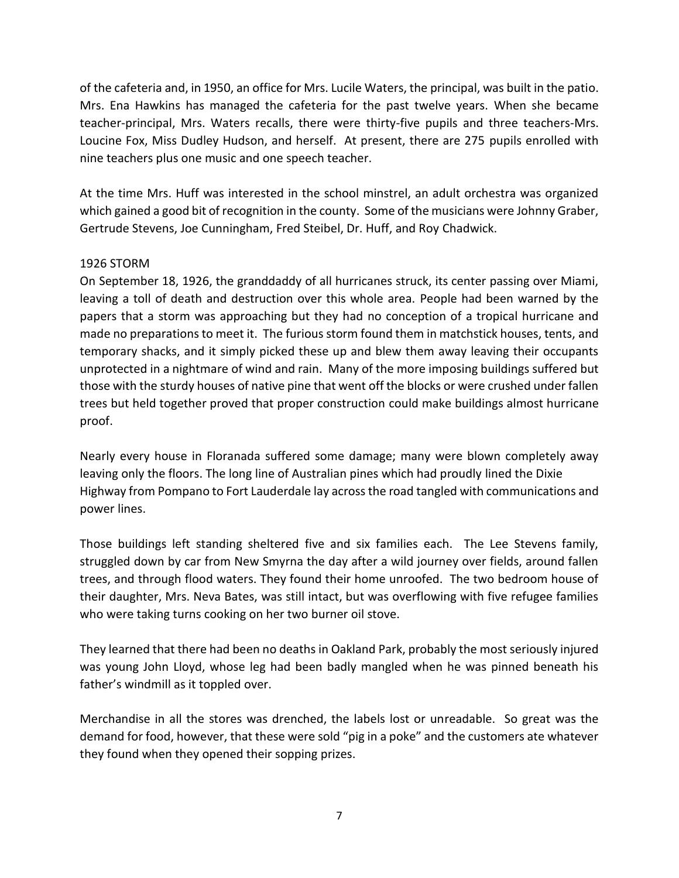of the cafeteria and, in 1950, an office for Mrs. Lucile Waters, the principal, was built in the patio. Mrs. Ena Hawkins has managed the cafeteria for the past twelve years. When she became teacher-principal, Mrs. Waters recalls, there were thirty-five pupils and three teachers-Mrs. Loucine Fox, Miss Dudley Hudson, and herself. At present, there are 275 pupils enrolled with nine teachers plus one music and one speech teacher.

At the time Mrs. Huff was interested in the school minstrel, an adult orchestra was organized which gained a good bit of recognition in the county. Some of the musicians were Johnny Graber, Gertrude Stevens, Joe Cunningham, Fred Steibel, Dr. Huff, and Roy Chadwick.

### 1926 STORM

On September 18, 1926, the granddaddy of all hurricanes struck, its center passing over Miami, leaving a toll of death and destruction over this whole area. People had been warned by the papers that a storm was approaching but they had no conception of a tropical hurricane and made no preparations to meet it. The furious storm found them in matchstick houses, tents, and temporary shacks, and it simply picked these up and blew them away leaving their occupants unprotected in a nightmare of wind and rain. Many of the more imposing buildings suffered but those with the sturdy houses of native pine that went off the blocks or were crushed under fallen trees but held together proved that proper construction could make buildings almost hurricane proof.

Nearly every house in Floranada suffered some damage; many were blown completely away leaving only the floors. The long line of Australian pines which had proudly lined the Dixie Highway from Pompano to Fort Lauderdale lay across the road tangled with communications and power lines.

Those buildings left standing sheltered five and six families each. The Lee Stevens family, struggled down by car from New Smyrna the day after a wild journey over fields, around fallen trees, and through flood waters. They found their home unroofed. The two bedroom house of their daughter, Mrs. Neva Bates, was still intact, but was overflowing with five refugee families who were taking turns cooking on her two burner oil stove.

They learned that there had been no deaths in Oakland Park, probably the most seriously injured was young John Lloyd, whose leg had been badly mangled when he was pinned beneath his father's windmill as it toppled over.

Merchandise in all the stores was drenched, the labels lost or unreadable. So great was the demand for food, however, that these were sold "pig in a poke" and the customers ate whatever they found when they opened their sopping prizes.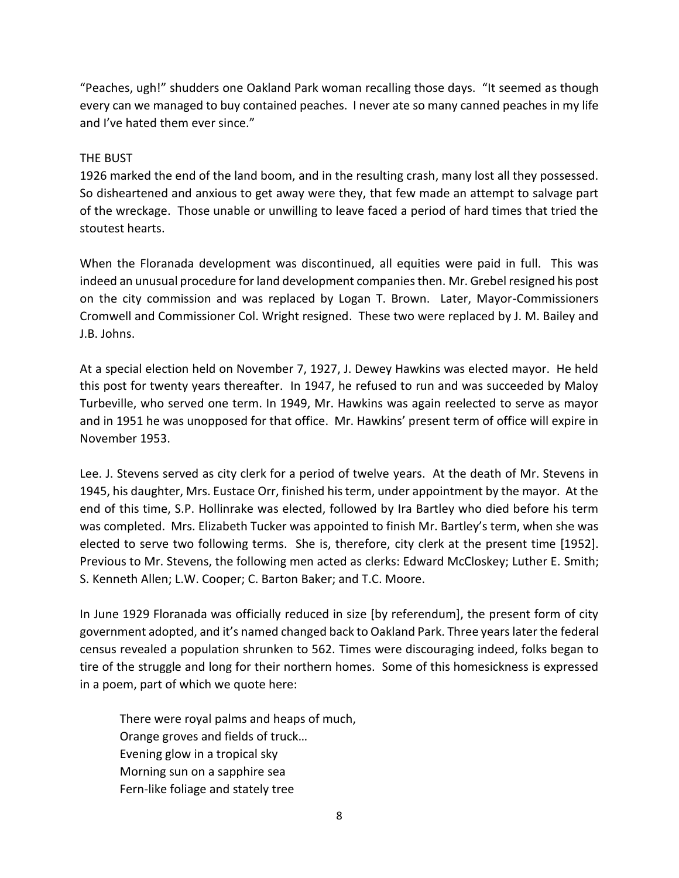"Peaches, ugh!" shudders one Oakland Park woman recalling those days. "It seemed as though every can we managed to buy contained peaches. I never ate so many canned peaches in my life and I've hated them ever since."

## THE BUST

1926 marked the end of the land boom, and in the resulting crash, many lost all they possessed. So disheartened and anxious to get away were they, that few made an attempt to salvage part of the wreckage. Those unable or unwilling to leave faced a period of hard times that tried the stoutest hearts.

When the Floranada development was discontinued, all equities were paid in full. This was indeed an unusual procedure for land development companies then. Mr. Grebel resigned his post on the city commission and was replaced by Logan T. Brown. Later, Mayor-Commissioners Cromwell and Commissioner Col. Wright resigned. These two were replaced by J. M. Bailey and J.B. Johns.

At a special election held on November 7, 1927, J. Dewey Hawkins was elected mayor. He held this post for twenty years thereafter. In 1947, he refused to run and was succeeded by Maloy Turbeville, who served one term. In 1949, Mr. Hawkins was again reelected to serve as mayor and in 1951 he was unopposed for that office. Mr. Hawkins' present term of office will expire in November 1953.

Lee. J. Stevens served as city clerk for a period of twelve years. At the death of Mr. Stevens in 1945, his daughter, Mrs. Eustace Orr, finished his term, under appointment by the mayor. At the end of this time, S.P. Hollinrake was elected, followed by Ira Bartley who died before his term was completed. Mrs. Elizabeth Tucker was appointed to finish Mr. Bartley's term, when she was elected to serve two following terms. She is, therefore, city clerk at the present time [1952]. Previous to Mr. Stevens, the following men acted as clerks: Edward McCloskey; Luther E. Smith; S. Kenneth Allen; L.W. Cooper; C. Barton Baker; and T.C. Moore.

In June 1929 Floranada was officially reduced in size [by referendum], the present form of city government adopted, and it's named changed back to Oakland Park. Three years later the federal census revealed a population shrunken to 562. Times were discouraging indeed, folks began to tire of the struggle and long for their northern homes. Some of this homesickness is expressed in a poem, part of which we quote here:

There were royal palms and heaps of much, Orange groves and fields of truck… Evening glow in a tropical sky Morning sun on a sapphire sea Fern-like foliage and stately tree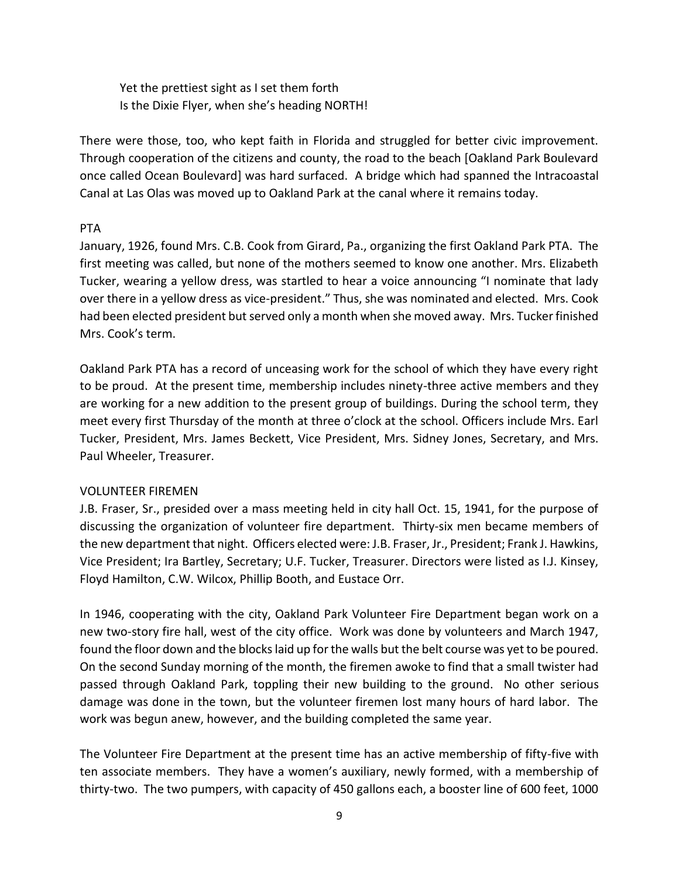Yet the prettiest sight as I set them forth Is the Dixie Flyer, when she's heading NORTH!

There were those, too, who kept faith in Florida and struggled for better civic improvement. Through cooperation of the citizens and county, the road to the beach [Oakland Park Boulevard once called Ocean Boulevard] was hard surfaced. A bridge which had spanned the Intracoastal Canal at Las Olas was moved up to Oakland Park at the canal where it remains today.

# PTA

January, 1926, found Mrs. C.B. Cook from Girard, Pa., organizing the first Oakland Park PTA. The first meeting was called, but none of the mothers seemed to know one another. Mrs. Elizabeth Tucker, wearing a yellow dress, was startled to hear a voice announcing "I nominate that lady over there in a yellow dress as vice-president." Thus, she was nominated and elected. Mrs. Cook had been elected president but served only a month when she moved away. Mrs. Tucker finished Mrs. Cook's term.

Oakland Park PTA has a record of unceasing work for the school of which they have every right to be proud. At the present time, membership includes ninety-three active members and they are working for a new addition to the present group of buildings. During the school term, they meet every first Thursday of the month at three o'clock at the school. Officers include Mrs. Earl Tucker, President, Mrs. James Beckett, Vice President, Mrs. Sidney Jones, Secretary, and Mrs. Paul Wheeler, Treasurer.

# VOLUNTEER FIREMEN

J.B. Fraser, Sr., presided over a mass meeting held in city hall Oct. 15, 1941, for the purpose of discussing the organization of volunteer fire department. Thirty-six men became members of the new department that night. Officers elected were: J.B. Fraser, Jr., President; Frank J. Hawkins, Vice President; Ira Bartley, Secretary; U.F. Tucker, Treasurer. Directors were listed as I.J. Kinsey, Floyd Hamilton, C.W. Wilcox, Phillip Booth, and Eustace Orr.

In 1946, cooperating with the city, Oakland Park Volunteer Fire Department began work on a new two-story fire hall, west of the city office. Work was done by volunteers and March 1947, found the floor down and the blocks laid up for the walls but the belt course was yet to be poured. On the second Sunday morning of the month, the firemen awoke to find that a small twister had passed through Oakland Park, toppling their new building to the ground. No other serious damage was done in the town, but the volunteer firemen lost many hours of hard labor. The work was begun anew, however, and the building completed the same year.

The Volunteer Fire Department at the present time has an active membership of fifty-five with ten associate members. They have a women's auxiliary, newly formed, with a membership of thirty-two. The two pumpers, with capacity of 450 gallons each, a booster line of 600 feet, 1000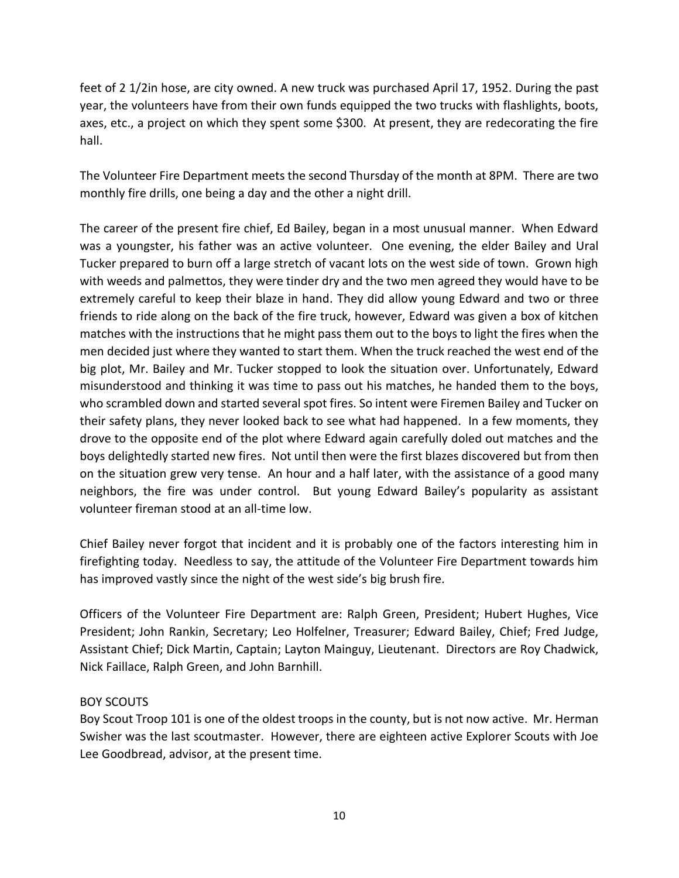feet of 2 1/2in hose, are city owned. A new truck was purchased April 17, 1952. During the past year, the volunteers have from their own funds equipped the two trucks with flashlights, boots, axes, etc., a project on which they spent some \$300. At present, they are redecorating the fire hall.

The Volunteer Fire Department meets the second Thursday of the month at 8PM. There are two monthly fire drills, one being a day and the other a night drill.

The career of the present fire chief, Ed Bailey, began in a most unusual manner. When Edward was a youngster, his father was an active volunteer. One evening, the elder Bailey and Ural Tucker prepared to burn off a large stretch of vacant lots on the west side of town. Grown high with weeds and palmettos, they were tinder dry and the two men agreed they would have to be extremely careful to keep their blaze in hand. They did allow young Edward and two or three friends to ride along on the back of the fire truck, however, Edward was given a box of kitchen matches with the instructions that he might pass them out to the boys to light the fires when the men decided just where they wanted to start them. When the truck reached the west end of the big plot, Mr. Bailey and Mr. Tucker stopped to look the situation over. Unfortunately, Edward misunderstood and thinking it was time to pass out his matches, he handed them to the boys, who scrambled down and started several spot fires. So intent were Firemen Bailey and Tucker on their safety plans, they never looked back to see what had happened. In a few moments, they drove to the opposite end of the plot where Edward again carefully doled out matches and the boys delightedly started new fires. Not until then were the first blazes discovered but from then on the situation grew very tense. An hour and a half later, with the assistance of a good many neighbors, the fire was under control. But young Edward Bailey's popularity as assistant volunteer fireman stood at an all-time low.

Chief Bailey never forgot that incident and it is probably one of the factors interesting him in firefighting today. Needless to say, the attitude of the Volunteer Fire Department towards him has improved vastly since the night of the west side's big brush fire.

Officers of the Volunteer Fire Department are: Ralph Green, President; Hubert Hughes, Vice President; John Rankin, Secretary; Leo Holfelner, Treasurer; Edward Bailey, Chief; Fred Judge, Assistant Chief; Dick Martin, Captain; Layton Mainguy, Lieutenant. Directors are Roy Chadwick, Nick Faillace, Ralph Green, and John Barnhill.

### BOY SCOUTS

Boy Scout Troop 101 is one of the oldest troops in the county, but is not now active. Mr. Herman Swisher was the last scoutmaster. However, there are eighteen active Explorer Scouts with Joe Lee Goodbread, advisor, at the present time.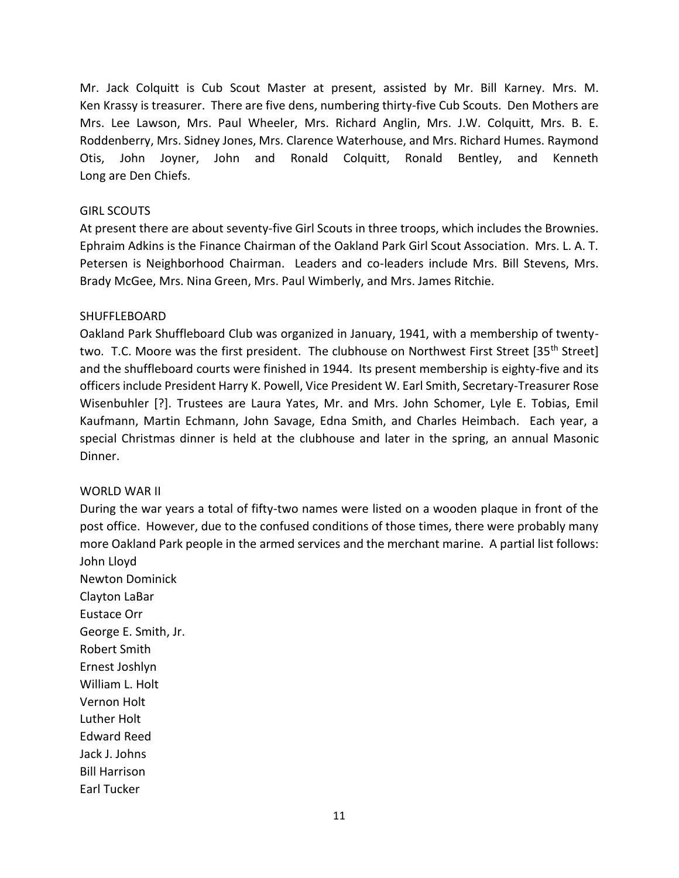Mr. Jack Colquitt is Cub Scout Master at present, assisted by Mr. Bill Karney. Mrs. M. Ken Krassy is treasurer. There are five dens, numbering thirty-five Cub Scouts. Den Mothers are Mrs. Lee Lawson, Mrs. Paul Wheeler, Mrs. Richard Anglin, Mrs. J.W. Colquitt, Mrs. B. E. Roddenberry, Mrs. Sidney Jones, Mrs. Clarence Waterhouse, and Mrs. Richard Humes. Raymond Otis, John Joyner, John and Ronald Colquitt, Ronald Bentley, and Kenneth Long are Den Chiefs.

#### GIRL SCOUTS

At present there are about seventy-five Girl Scouts in three troops, which includes the Brownies. Ephraim Adkins is the Finance Chairman of the Oakland Park Girl Scout Association. Mrs. L. A. T. Petersen is Neighborhood Chairman. Leaders and co-leaders include Mrs. Bill Stevens, Mrs. Brady McGee, Mrs. Nina Green, Mrs. Paul Wimberly, and Mrs. James Ritchie.

#### SHUFFLEBOARD

Oakland Park Shuffleboard Club was organized in January, 1941, with a membership of twentytwo. T.C. Moore was the first president. The clubhouse on Northwest First Street [35<sup>th</sup> Street] and the shuffleboard courts were finished in 1944. Its present membership is eighty-five and its officers include President Harry K. Powell, Vice President W. Earl Smith, Secretary-Treasurer Rose Wisenbuhler [?]. Trustees are Laura Yates, Mr. and Mrs. John Schomer, Lyle E. Tobias, Emil Kaufmann, Martin Echmann, John Savage, Edna Smith, and Charles Heimbach. Each year, a special Christmas dinner is held at the clubhouse and later in the spring, an annual Masonic Dinner.

### WORLD WAR II

During the war years a total of fifty-two names were listed on a wooden plaque in front of the post office. However, due to the confused conditions of those times, there were probably many more Oakland Park people in the armed services and the merchant marine. A partial list follows: John Lloyd

Newton Dominick Clayton LaBar Eustace Orr George E. Smith, Jr. Robert Smith Ernest Joshlyn William L. Holt Vernon Holt Luther Holt Edward Reed Jack J. Johns Bill Harrison Earl Tucker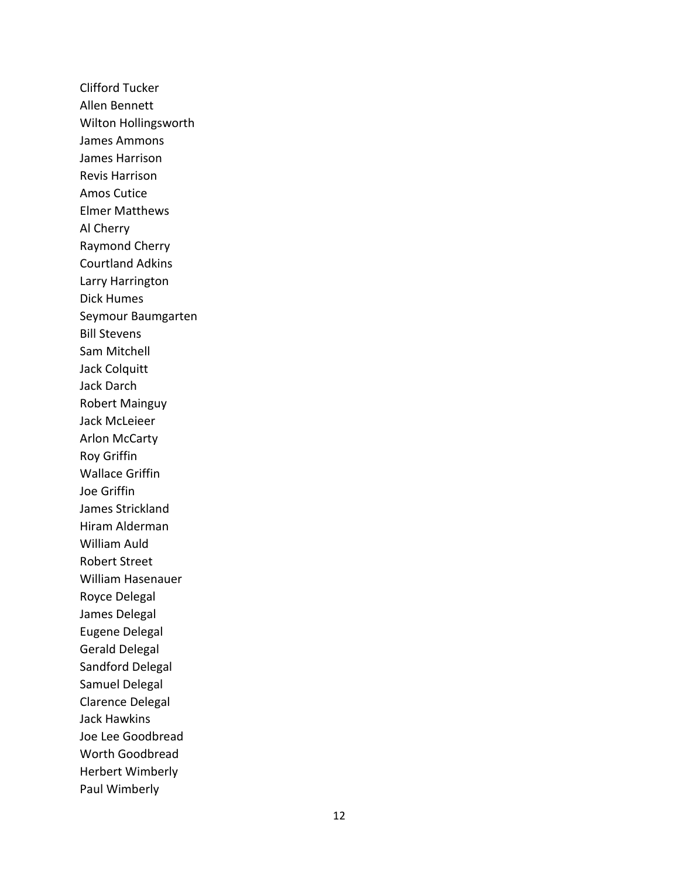Clifford Tucker Allen Bennett Wilton Hollingsworth James Ammons James Harrison Revis Harrison Amos Cutice Elmer Matthews Al Cherry Raymond Cherry Courtland Adkins Larry Harrington Dick Humes Seymour Baumgarten Bill Stevens Sam Mitchell Jack Colquit t Jack Darch Robert Mainguy Jack McLeieer Arlon McCarty Roy Griffin Wallace Griffin Joe Griffin James Strickland Hiram Alderman William Auld Robert Street William Hasenauer Royce Delegal James Delegal Eugene Delegal Gerald Delegal Sandford Delegal Samuel Delegal Clarence Delegal Jack Hawkins Joe Lee Goodbread Worth Goodbread Herbert Wimberly Paul Wimberly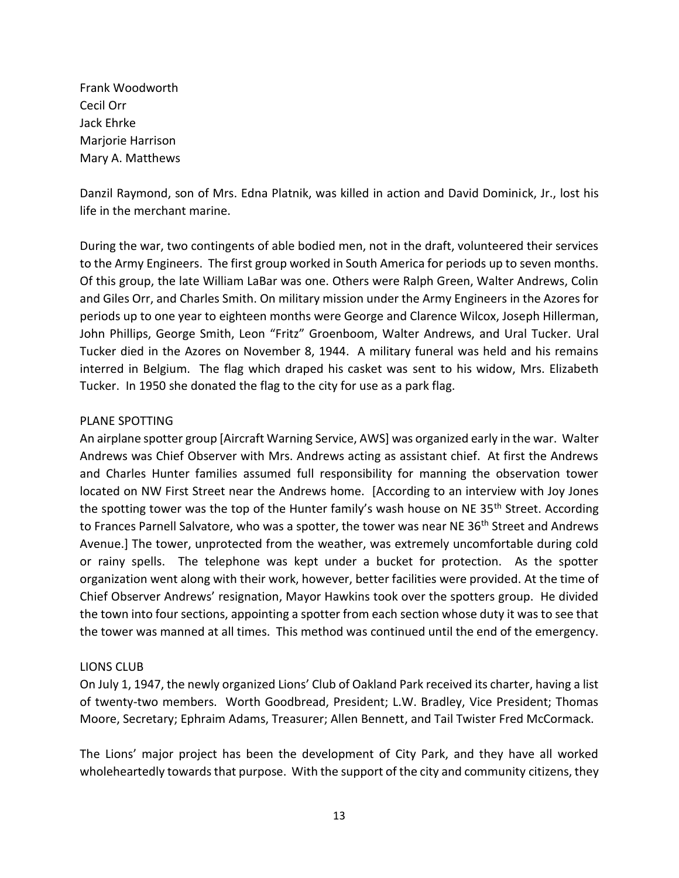Frank Woodworth Cecil Orr Jack Ehrke Marjorie Harrison Mary A. Matthews

Danzil Raymond, son of Mrs. Edna Platnik, was killed in action and David Dominick, Jr., lost his life in the merchant marine.

During the war, two contingents of able bodied men, not in the draft, volunteered their services to the Army Engineers. The first group worked in South America for periods up to seven months. Of this group, the late William LaBar was one. Others were Ralph Green, Walter Andrews, Colin and Giles Orr, and Charles Smith. On military mission under the Army Engineers in the Azores for periods up to one year to eighteen months were George and Clarence Wilcox, Joseph Hillerman, John Phillips, George Smith, Leon "Fritz" Groenboom, Walter Andrews, and Ural Tucker. Ural Tucker died in the Azores on November 8, 1944. A military funeral was held and his remains interred in Belgium. The flag which draped his casket was sent to his widow, Mrs. Elizabeth Tucker. In 1950 she donated the flag to the city for use as a park flag.

### PLANE SPOTTING

An airplane spotter group [Aircraft Warning Service, AWS] was organized early in the war. Walter Andrews was Chief Observer with Mrs. Andrews acting as assistant chief. At first the Andrews and Charles Hunter families assumed full responsibility for manning the observation tower located on NW First Street near the Andrews home. [According to an interview with Joy Jones the spotting tower was the top of the Hunter family's wash house on NE  $35<sup>th</sup>$  Street. According to Frances Parnell Salvatore, who was a spotter, the tower was near NE 36<sup>th</sup> Street and Andrews Avenue.] The tower, unprotected from the weather, was extremely uncomfortable during cold or rainy spells. The telephone was kept under a bucket for protection. As the spotter organization went along with their work, however, better facilities were provided. At the time of Chief Observer Andrews' resignation, Mayor Hawkins took over the spotters group. He divided the town into four sections, appointing a spotter from each section whose duty it was to see that the tower was manned at all times. This method was continued until the end of the emergency.

### LIONS CLUB

On July 1, 1947, the newly organized Lions' Club of Oakland Park received its charter, having a list of twenty-two members. Worth Goodbread, President; L.W. Bradley, Vice President; Thomas Moore, Secretary; Ephraim Adams, Treasurer; Allen Bennett, and Tail Twister Fred McCormack.

The Lions' major project has been the development of City Park, and they have all worked wholeheartedly towards that purpose. With the support of the city and community citizens, they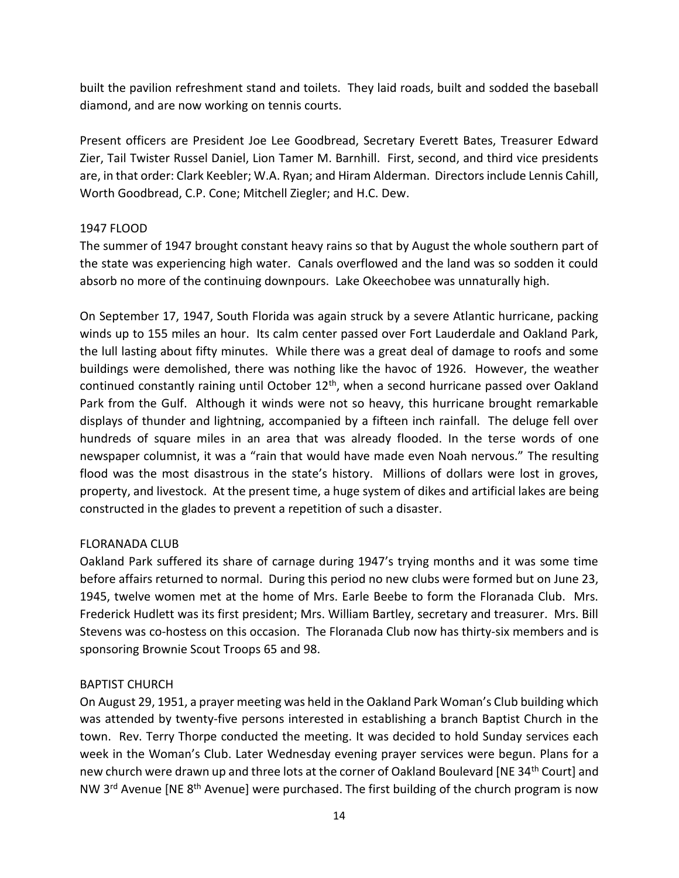built the pavilion refreshment stand and toilets. They laid roads, built and sodded the baseball diamond, and are now working on tennis courts.

Present officers are President Joe Lee Goodbread, Secretary Everett Bates, Treasurer Edward Zier, Tail Twister Russel Daniel, Lion Tamer M. Barnhill. First, second, and third vice presidents are, in that order: Clark Keebler; W.A. Ryan; and Hiram Alderman. Directors include Lennis Cahill, Worth Goodbread, C.P. Cone; Mitchell Ziegler; and H.C. Dew.

### 1947 FLOOD

The summer of 1947 brought constant heavy rains so that by August the whole southern part of the state was experiencing high water. Canals overflowed and the land was so sodden it could absorb no more of the continuing downpours. Lake Okeechobee was unnaturally high.

On September 17, 1947, South Florida was again struck by a severe Atlantic hurricane, packing winds up to 155 miles an hour. Its calm center passed over Fort Lauderdale and Oakland Park, the lull lasting about fifty minutes. While there was a great deal of damage to roofs and some buildings were demolished, there was nothing like the havoc of 1926. However, the weather continued constantly raining until October 12<sup>th</sup>, when a second hurricane passed over Oakland Park from the Gulf. Although it winds were not so heavy, this hurricane brought remarkable displays of thunder and lightning, accompanied by a fifteen inch rainfall. The deluge fell over hundreds of square miles in an area that was already flooded. In the terse words of one newspaper columnist, it was a "rain that would have made even Noah nervous." The resulting flood was the most disastrous in the state's history. Millions of dollars were lost in groves, property, and livestock. At the present time, a huge system of dikes and artificial lakes are being constructed in the glades to prevent a repetition of such a disaster.

### FLORANADA CLUB

Oakland Park suffered its share of carnage during 1947's trying months and it was some time before affairs returned to normal. During this period no new clubs were formed but on June 23, 1945, twelve women met at the home of Mrs. Earle Beebe to form the Floranada Club. Mrs. Frederick Hudlett was its first president; Mrs. William Bartley, secretary and treasurer. Mrs. Bill Stevens was co-hostess on this occasion. The Floranada Club now has thirty-six members and is sponsoring Brownie Scout Troops 65 and 98.

### BAPTIST CHURCH

On August 29, 1951, a prayer meeting was held in the Oakland Park Woman's Club building which was attended by twenty-five persons interested in establishing a branch Baptist Church in the town. Rev. Terry Thorpe conducted the meeting. It was decided to hold Sunday services each week in the Woman's Club. Later Wednesday evening prayer services were begun. Plans for a new church were drawn up and three lots at the corner of Oakland Boulevard [NE 34<sup>th</sup> Court] and NW 3<sup>rd</sup> Avenue [NE 8<sup>th</sup> Avenue] were purchased. The first building of the church program is now